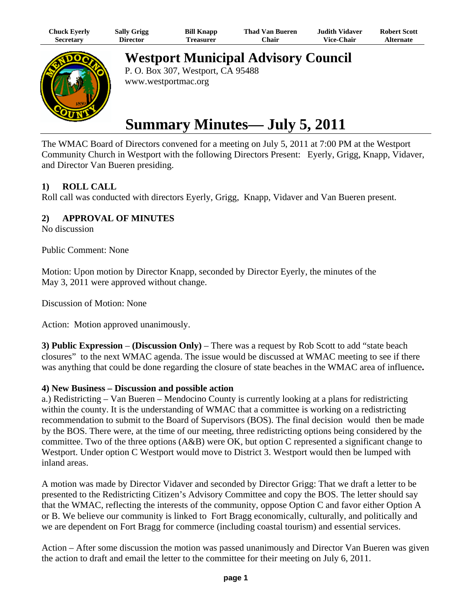| Chuck Eyerly | <b>Sally Grigg</b> | <b>Bill Knapp</b> | <b>Thad Van Bueren</b> | <b>Judith Vidaver</b> | <b>Robert Scott</b> |
|--------------|--------------------|-------------------|------------------------|-----------------------|---------------------|
| Secretary    | Director           | Treasurer         | Chair                  | <b>Vice-Chair</b>     | <b>Alternate</b>    |



**Westport Municipal Advisory Council**

P. O. Box 307, Westport, CA 95488 www.westportmac.org

# **Summary Minutes— July 5, 2011**

The WMAC Board of Directors convened for a meeting on July 5, 2011 at 7:00 PM at the Westport Community Church in Westport with the following Directors Present: Eyerly, Grigg, Knapp, Vidaver, and Director Van Bueren presiding.

# **1) ROLL CALL**

Roll call was conducted with directors Eyerly, Grigg, Knapp, Vidaver and Van Bueren present.

# **2) APPROVAL OF MINUTES**

No discussion

Public Comment: None

Motion: Upon motion by Director Knapp, seconded by Director Eyerly, the minutes of the May 3, 2011 were approved without change.

Discussion of Motion: None

Action: Motion approved unanimously.

**3) Public Expression** – **(Discussion Only)** – There was a request by Rob Scott to add "state beach closures" to the next WMAC agenda. The issue would be discussed at WMAC meeting to see if there was anything that could be done regarding the closure of state beaches in the WMAC area of influence**.**

## **4) New Business – Discussion and possible action**

a.) Redistricting – Van Bueren – Mendocino County is currently looking at a plans for redistricting within the county. It is the understanding of WMAC that a committee is working on a redistricting recommendation to submit to the Board of Supervisors (BOS). The final decision would then be made by the BOS. There were, at the time of our meeting, three redistricting options being considered by the committee. Two of the three options (A&B) were OK, but option C represented a significant change to Westport. Under option C Westport would move to District 3. Westport would then be lumped with inland areas.

A motion was made by Director Vidaver and seconded by Director Grigg: That we draft a letter to be presented to the Redistricting Citizen's Advisory Committee and copy the BOS. The letter should say that the WMAC, reflecting the interests of the community, oppose Option C and favor either Option A or B. We believe our community is linked to Fort Bragg economically, culturally, and politically and we are dependent on Fort Bragg for commerce (including coastal tourism) and essential services.

Action – After some discussion the motion was passed unanimously and Director Van Bueren was given the action to draft and email the letter to the committee for their meeting on July 6, 2011.